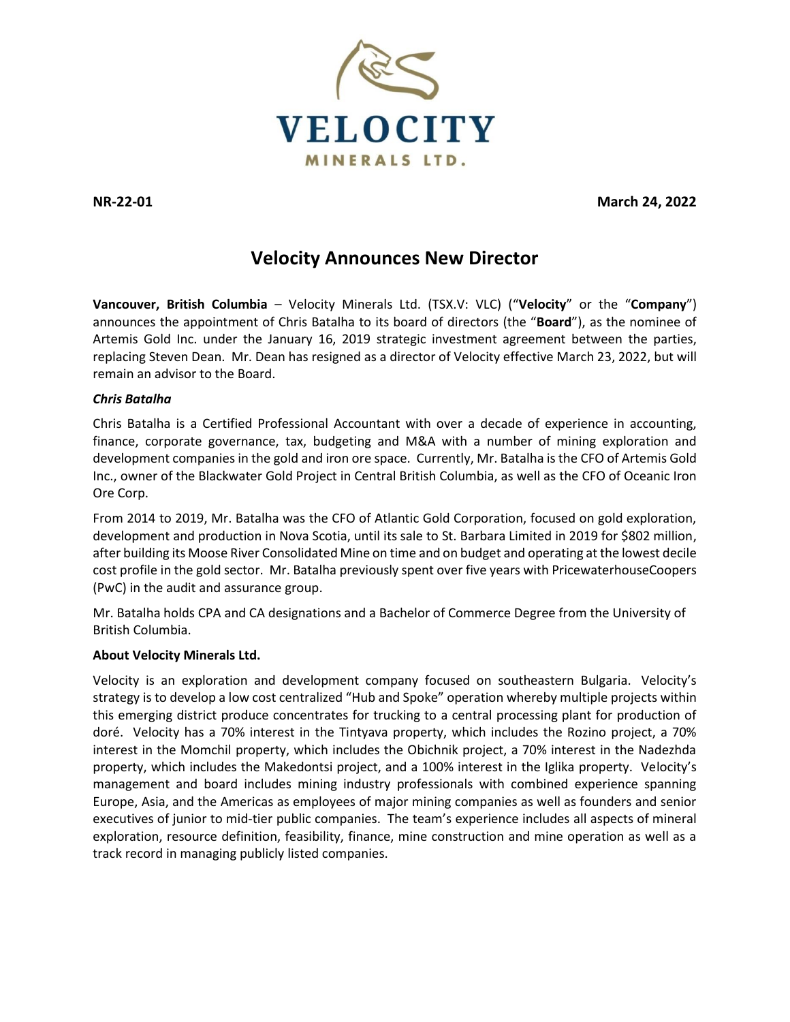

**NR-22-01 March 24, 2022**

# **Velocity Announces New Director**

**Vancouver, British Columbia** – Velocity Minerals Ltd. (TSX.V: VLC) ("**Velocity**" or the "**Company**") announces the appointment of Chris Batalha to its board of directors (the "**Board**"), as the nominee of Artemis Gold Inc. under the January 16, 2019 strategic investment agreement between the parties, replacing Steven Dean. Mr. Dean has resigned as a director of Velocity effective March 23, 2022, but will remain an advisor to the Board.

## *Chris Batalha*

Chris Batalha is a Certified Professional Accountant with over a decade of experience in accounting, finance, corporate governance, tax, budgeting and M&A with a number of mining exploration and development companies in the gold and iron ore space. Currently, Mr. Batalha is the CFO of Artemis Gold Inc., owner of the Blackwater Gold Project in Central British Columbia, as well as the CFO of Oceanic Iron Ore Corp.

From 2014 to 2019, Mr. Batalha was the CFO of Atlantic Gold Corporation, focused on gold exploration, development and production in Nova Scotia, until its sale to St. Barbara Limited in 2019 for \$802 million, after building its Moose River Consolidated Mine on time and on budget and operating at the lowest decile cost profile in the gold sector. Mr. Batalha previously spent over five years with PricewaterhouseCoopers (PwC) in the audit and assurance group.

Mr. Batalha holds CPA and CA designations and a Bachelor of Commerce Degree from the University of British Columbia.

## **About Velocity Minerals Ltd.**

Velocity is an exploration and development company focused on southeastern Bulgaria. Velocity's strategy is to develop a low cost centralized "Hub and Spoke" operation whereby multiple projects within this emerging district produce concentrates for trucking to a central processing plant for production of doré. Velocity has a 70% interest in the Tintyava property, which includes the Rozino project, a 70% interest in the Momchil property, which includes the Obichnik project, a 70% interest in the Nadezhda property, which includes the Makedontsi project, and a 100% interest in the Iglika property. Velocity's management and board includes mining industry professionals with combined experience spanning Europe, Asia, and the Americas as employees of major mining companies as well as founders and senior executives of junior to mid-tier public companies. The team's experience includes all aspects of mineral exploration, resource definition, feasibility, finance, mine construction and mine operation as well as a track record in managing publicly listed companies.